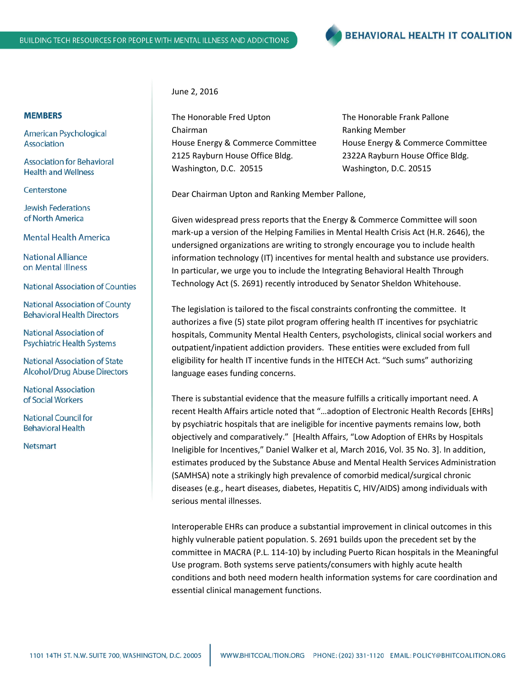

## **MEMBERS**

American Psychological Association

**Association for Behavioral Health and Wellness** 

Centerstone

**Jewish Federations** of North America

**Mental Health America** 

**National Alliance** on Mental Illness

**National Association of Counties** 

**National Association of County Behavioral Health Directors** 

National Association of **Psychiatric Health Systems** 

**National Association of State Alcohol/Drug Abuse Directors** 

**National Association** of Social Workers

**National Council for Behavioral Health** 

**Netsmart** 

June 2, 2016

The Honorable Fred Upton The Honorable Frank Pallone Chairman **Ranking Member** 2125 Rayburn House Office Bldg. 2322A Rayburn House Office Bldg. Washington, D.C. 20515 Washington, D.C. 20515

House Energy & Commerce Committee House Energy & Commerce Committee

Dear Chairman Upton and Ranking Member Pallone,

Given widespread press reports that the Energy & Commerce Committee will soon mark-up a version of the Helping Families in Mental Health Crisis Act (H.R. 2646), the undersigned organizations are writing to strongly encourage you to include health information technology (IT) incentives for mental health and substance use providers. In particular, we urge you to include the Integrating Behavioral Health Through Technology Act (S. 2691) recently introduced by Senator Sheldon Whitehouse.

The legislation is tailored to the fiscal constraints confronting the committee. It authorizes a five (5) state pilot program offering health IT incentives for psychiatric hospitals, Community Mental Health Centers, psychologists, clinical social workers and outpatient/inpatient addiction providers. These entities were excluded from full eligibility for health IT incentive funds in the HITECH Act. "Such sums" authorizing language eases funding concerns.

There is substantial evidence that the measure fulfills a critically important need. A recent Health Affairs article noted that "…adoption of Electronic Health Records [EHRs] by psychiatric hospitals that are ineligible for incentive payments remains low, both objectively and comparatively." [Health Affairs, "Low Adoption of EHRs by Hospitals Ineligible for Incentives," Daniel Walker et al, March 2016, Vol. 35 No. 3]. In addition, estimates produced by the Substance Abuse and Mental Health Services Administration (SAMHSA) note a strikingly high prevalence of comorbid medical/surgical chronic diseases (e.g., heart diseases, diabetes, Hepatitis C, HIV/AIDS) among individuals with serious mental illnesses.

Interoperable EHRs can produce a substantial improvement in clinical outcomes in this highly vulnerable patient population. S. 2691 builds upon the precedent set by the committee in MACRA (P.L. 114-10) by including Puerto Rican hospitals in the Meaningful Use program. Both systems serve patients/consumers with highly acute health conditions and both need modern health information systems for care coordination and essential clinical management functions.